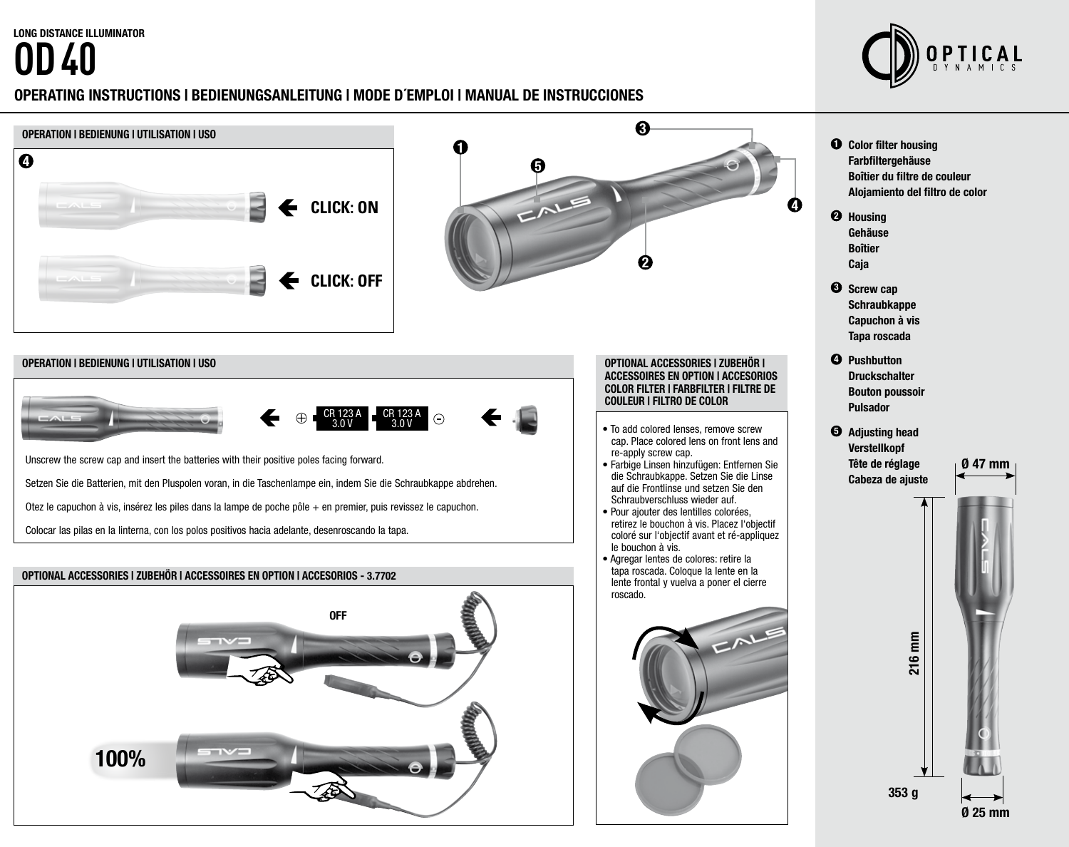# **OD 40**



# OPERATING INSTRUCTIONS | BEDIENUNGSANLEITUNG | MODE D´EMPLOI | MANUAL DE INSTRUCCIONES